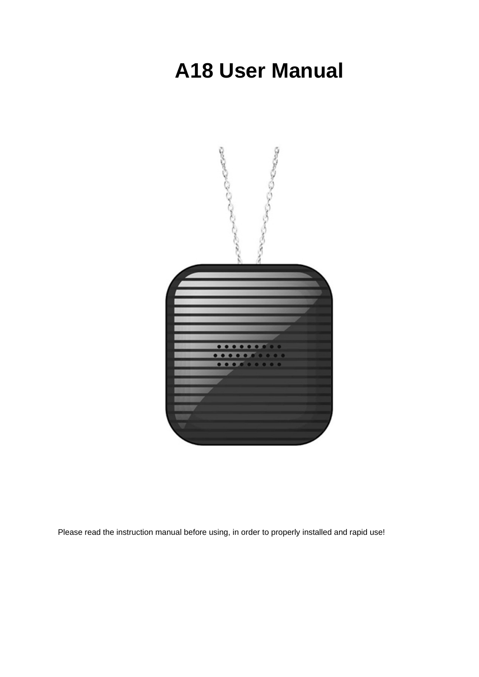# **A18 User Manual**



Please read the instruction manual before using, in order to properly installed and rapid use!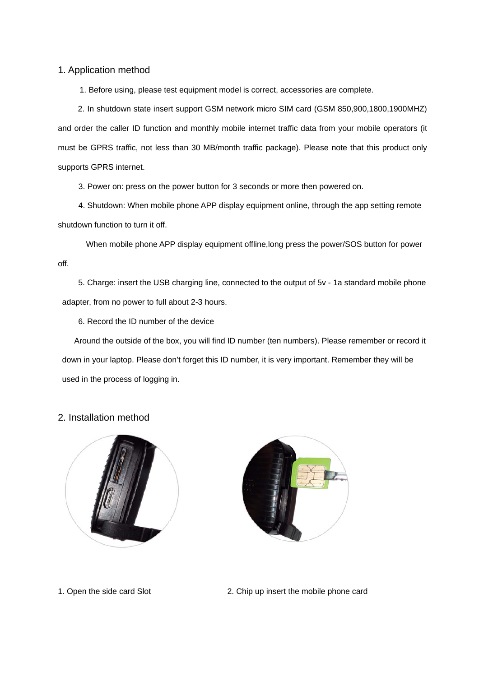1. Application method

1. Before using, please test equipment model is correct, accessories are complete.

 2. In shutdown state insert support GSM network micro SIM card (GSM 850,900,1800,1900MHZ) and order the caller ID function and monthly mobile internet traffic data from your mobile operators (it must be GPRS traffic, not less than 30 MB/month traffic package). Please note that this product only supports GPRS internet.

3. Power on: press on the power button for 3 seconds or more then powered on.

4. Shutdown: When mobile phone APP display equipment online, through the app setting remote shutdown function to turn it off.

When mobile phone APP display equipment offline,long press the power/SOS button for power off.

 5. Charge: insert the USB charging line, connected to the output of 5v - 1a standard mobile phone adapter, from no power to full about 2-3 hours.

6. Record the ID number of the device

Around the outside of the box, you will find ID number (ten numbers). Please remember or record it down in your laptop. Please don't forget this ID number, it is very important. Remember they will be used in the process of logging in.

## 2. Installation method





1. Open the side card Slot 2. Chip up insert the mobile phone card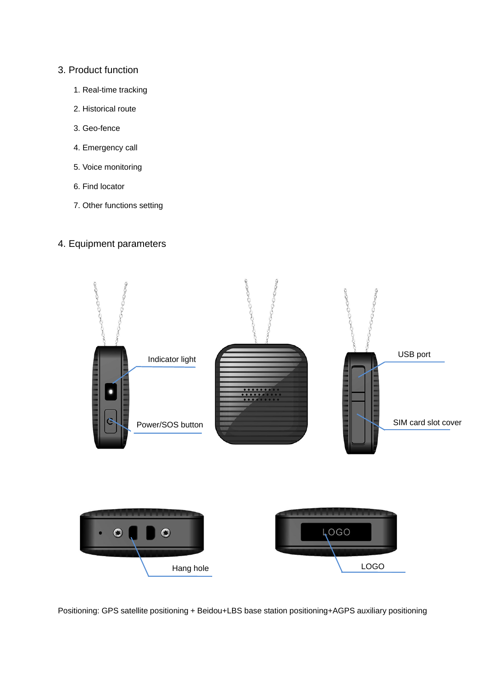## 3. Product function

- 1. Real-time tracking
- 2. Historical route
- 3. Geo-fence
- 4. Emergency call
- 5. Voice monitoring
- 6. Find locator
- 7. Other functions setting

## 4. Equipment parameters



Positioning: GPS satellite positioning + Beidou+LBS base station positioning+AGPS auxiliary positioning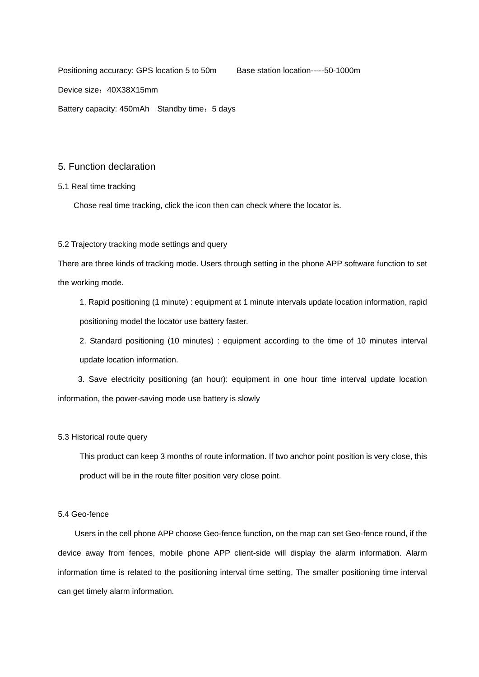Positioning accuracy: GPS location 5 to 50m Base station location-----50-1000m

Device size:40X38X15mm

Battery capacity: 450mAh Standby time: 5 days

#### 5. Function declaration

#### 5.1 Real time tracking

Chose real time tracking, click the icon then can check where the locator is.

#### 5.2 Trajectory tracking mode settings and query

There are three kinds of tracking mode. Users through setting in the phone APP software function to set the working mode.

1. Rapid positioning (1 minute) : equipment at 1 minute intervals update location information, rapid positioning model the locator use battery faster.

2. Standard positioning (10 minutes) : equipment according to the time of 10 minutes interval update location information.

3. Save electricity positioning (an hour): equipment in one hour time interval update location information, the power-saving mode use battery is slowly

#### 5.3 Historical route query

This product can keep 3 months of route information. If two anchor point position is very close, this product will be in the route filter position very close point.

#### 5.4 Geo-fence

 Users in the cell phone APP choose Geo-fence function, on the map can set Geo-fence round, if the device away from fences, mobile phone APP client-side will display the alarm information. Alarm information time is related to the positioning interval time setting, The smaller positioning time interval can get timely alarm information.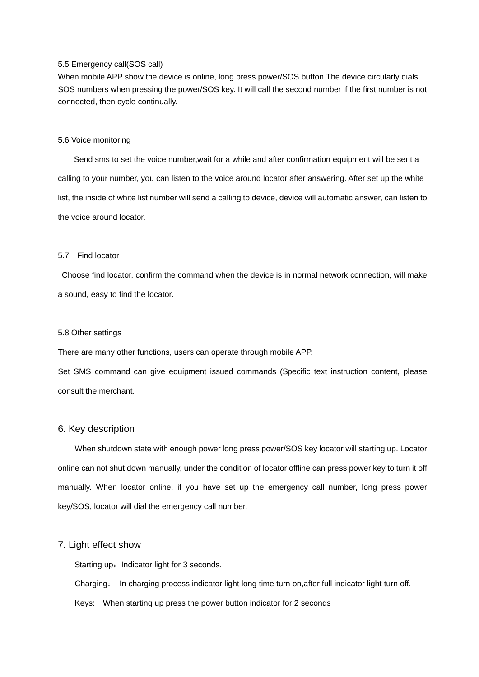#### 5.5 Emergency call(SOS call)

When mobile APP show the device is online, long press power/SOS button.The device circularly dials SOS numbers when pressing the power/SOS key. It will call the second number if the first number is not connected, then cycle continually.

#### 5.6 Voice monitoring

Send sms to set the voice number,wait for a while and after confirmation equipment will be sent a calling to your number, you can listen to the voice around locator after answering. After set up the white list, the inside of white list number will send a calling to device, device will automatic answer, can listen to the voice around locator.

#### 5.7 Find locator

 Choose find locator, confirm the command when the device is in normal network connection, will make a sound, easy to find the locator.

#### 5.8 Other settings

There are many other functions, users can operate through mobile APP.

Set SMS command can give equipment issued commands (Specific text instruction content, please consult the merchant.

#### 6. Key description

When shutdown state with enough power long press power/SOS key locator will starting up. Locator online can not shut down manually, under the condition of locator offline can press power key to turn it off manually. When locator online, if you have set up the emergency call number, long press power key/SOS, locator will dial the emergency call number.

## 7. Light effect show

Starting up: Indicator light for 3 seconds.

Charging: In charging process indicator light long time turn on,after full indicator light turn off.

Keys: When starting up press the power button indicator for 2 seconds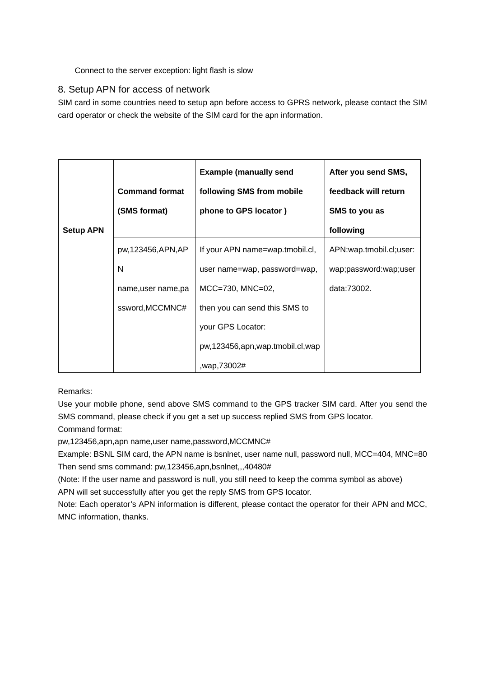## Connect to the server exception: light flash is slow

## 8. Setup APN for access of network

SIM card in some countries need to setup apn before access to GPRS network, please contact the SIM card operator or check the website of the SIM card for the apn information.

|                  | <b>Command format</b> | <b>Example (manually send)</b><br>following SMS from mobile | After you send SMS,<br>feedback will return |
|------------------|-----------------------|-------------------------------------------------------------|---------------------------------------------|
|                  | (SMS format)          | phone to GPS locator)                                       | SMS to you as                               |
| <b>Setup APN</b> |                       |                                                             | following                                   |
|                  | pw,123456,APN,AP      | If your APN name=wap.tmobil.cl,                             | APN:wap.tmobil.cl;user:                     |
|                  | N                     | user name=wap, password=wap,                                | wap;password:wap;user                       |
|                  | name, user name, pa   | $MCC = 730$ , $MNC = 02$                                    | data:73002.                                 |
|                  | ssword, MCCMNC#       | then you can send this SMS to                               |                                             |
|                  |                       | your GPS Locator:                                           |                                             |
|                  |                       | pw,123456,apn,wap.tmobil.cl,wap                             |                                             |
|                  |                       | wap,73002#,                                                 |                                             |

Remarks:

Use your mobile phone, send above SMS command to the GPS tracker SIM card. After you send the SMS command, please check if you get a set up success replied SMS from GPS locator.

Command format:

pw,123456,apn,apn name,user name,password,MCCMNC#

Example: BSNL SIM card, the APN name is bsnlnet, user name null, password null, MCC=404, MNC=80 Then send sms command: pw,123456,apn,bsnlnet,,,40480#

(Note: If the user name and password is null, you still need to keep the comma symbol as above) APN will set successfully after you get the reply SMS from GPS locator.

Note: Each operator's APN information is different, please contact the operator for their APN and MCC, MNC information, thanks.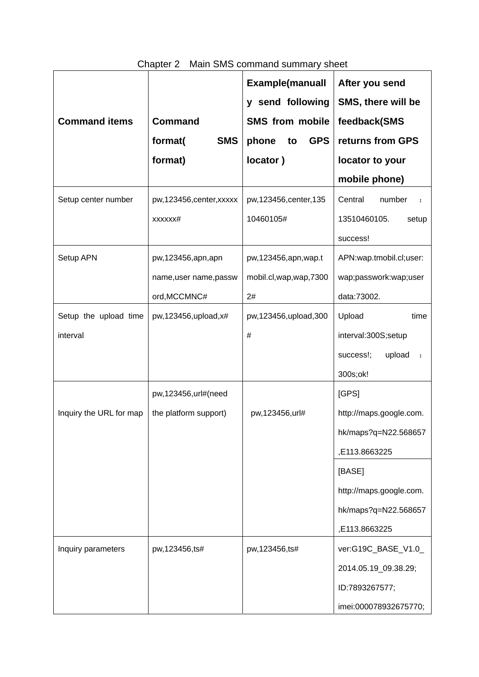|                         |                           | <b>Example(manuall</b>    | After you send          |
|-------------------------|---------------------------|---------------------------|-------------------------|
|                         |                           | y send following          | SMS, there will be      |
| <b>Command items</b>    | <b>Command</b>            | <b>SMS from mobile</b>    | feedback(SMS            |
|                         | <b>SMS</b><br>format(     | <b>GPS</b><br>phone<br>to | returns from GPS        |
|                         | format)                   | locator)                  | locator to your         |
|                         |                           |                           | mobile phone)           |
| Setup center number     | pw, 123456, center, xxxxx | pw,123456, center, 135    | Central<br>number       |
|                         | XXXXXX#                   | 10460105#                 | 13510460105.<br>setup   |
|                         |                           |                           | success!                |
| Setup APN               | pw,123456,apn,apn         | pw, 123456, apn, wap.t    | APN:wap.tmobil.cl;user: |
|                         | name, user name, passw    | mobil.cl, wap, wap, 7300  | wap;passwork:wap;user   |
|                         | ord, MCCMNC#              | 2#                        | data:73002.             |
| Setup the upload time   | pw,123456,upload,x#       | pw,123456,upload,300      | Upload<br>time          |
| interval                |                           | #                         | interval:300S;setup     |
|                         |                           |                           | upload<br>success!;     |
|                         |                           |                           | 300s;ok!                |
|                         | pw,123456,url#(need       |                           | [GPS]                   |
| Inquiry the URL for map | the platform support)     | pw,123456,url#            | http://maps.google.com. |
|                         |                           |                           | hk/maps?q=N22.568657    |
|                         |                           |                           | ,E113.8663225           |
|                         |                           |                           | [BASE]                  |
|                         |                           |                           | http://maps.google.com. |
|                         |                           |                           | hk/maps?q=N22.568657    |
|                         |                           |                           | ,E113.8663225           |
| Inquiry parameters      | pw, 123456, ts#           | pw,123456,ts#             | ver:G19C_BASE_V1.0_     |
|                         |                           |                           | 2014.05.19_09.38.29;    |
|                         |                           |                           | ID:7893267577;          |
|                         |                           |                           | imei:000078932675770;   |

## Chapter 2 Main SMS command summary sheet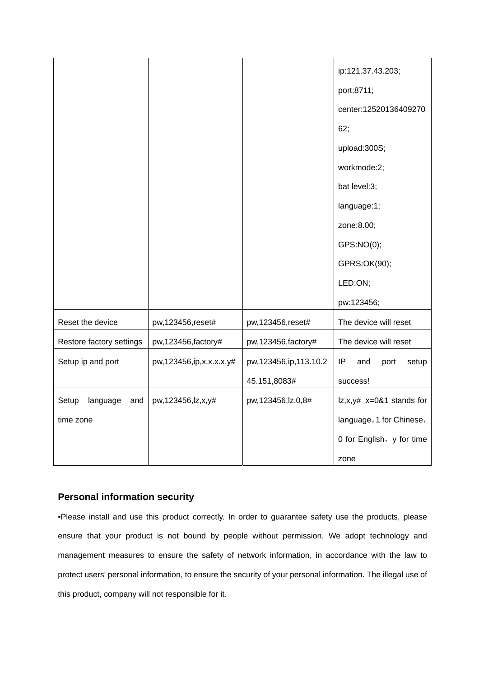|                          |                             |                          | ip:121.37.43.203;          |
|--------------------------|-----------------------------|--------------------------|----------------------------|
|                          |                             |                          | port:8711;                 |
|                          |                             |                          | center:12520136409270      |
|                          |                             |                          | 62;                        |
|                          |                             |                          | upload:300S;               |
|                          |                             |                          | workmode:2;                |
|                          |                             |                          | bat level:3;               |
|                          |                             |                          | language:1;                |
|                          |                             |                          | zone:8.00;                 |
|                          |                             |                          | GPS:NO(0);                 |
|                          |                             |                          | GPRS:OK(90);               |
|                          |                             |                          | LED:ON;                    |
|                          |                             |                          | pw:123456;                 |
| Reset the device         | pw,123456,reset#            | pw,123456,reset#         | The device will reset      |
| Restore factory settings | pw,123456, factory#         | pw, 123456, factory#     | The device will reset      |
| Setup ip and port        | pw, 123456, ip, x.x.x.x, y# | pw, 123456, ip, 113.10.2 | IP<br>and<br>port<br>setup |
|                          |                             | 45.151,8083#             | success!                   |
| Setup<br>language<br>and | pw,123456,lz,x,y#           | pw,123456,lz,0,8#        | $ z,x,y# x=0&1$ stands for |
| time zone                |                             |                          | language, 1 for Chinese,   |
|                          |                             |                          | 0 for English, y for time  |
|                          |                             |                          | zone                       |

## **Personal information security**

•Please install and use this product correctly. In order to guarantee safety use the products, please ensure that your product is not bound by people without permission. We adopt technology and management measures to ensure the safety of network information, in accordance with the law to protect users' personal information, to ensure the security of your personal information. The illegal use of this product, company will not responsible for it.